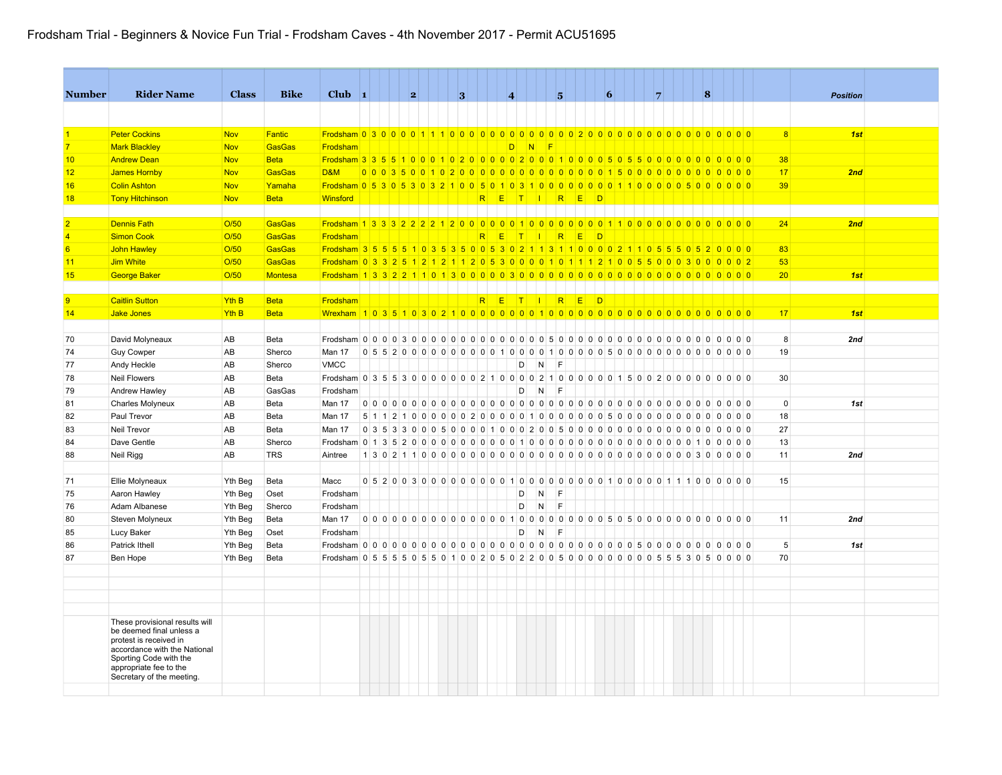| <b>Number</b>  | <b>Rider Name</b>                                                                | <b>Class</b> | <b>Bike</b>    | $Club$ 1                                                                                   |  | 2 |  | 3 |                |                                               | $\overline{A}$  |          |          | 5                      |          |        | 6 |  | $\overline{7}$ |  | $\vert$ 8      |           |             | <b>Position</b> |  |
|----------------|----------------------------------------------------------------------------------|--------------|----------------|--------------------------------------------------------------------------------------------|--|---|--|---|----------------|-----------------------------------------------|-----------------|----------|----------|------------------------|----------|--------|---|--|----------------|--|----------------|-----------|-------------|-----------------|--|
|                |                                                                                  |              |                |                                                                                            |  |   |  |   |                |                                               |                 |          |          |                        |          |        |   |  |                |  |                |           |             |                 |  |
| $\vert$ 1      | <b>Peter Cockins</b>                                                             | <b>Nov</b>   | Fantic         |                                                                                            |  |   |  |   |                |                                               |                 |          |          |                        |          |        |   |  |                |  |                |           | 8           | 1st             |  |
| $\overline{7}$ | <b>Mark Blackley</b>                                                             | <b>Nov</b>   | <b>GasGas</b>  | Frodsham                                                                                   |  |   |  |   |                |                                               | D.              | N.       | <b>F</b> |                        |          |        |   |  |                |  |                |           |             |                 |  |
| 10             | <b>Andrew Dean</b>                                                               | <b>Nov</b>   | <b>Beta</b>    |                                                                                            |  |   |  |   |                |                                               |                 |          |          |                        |          |        |   |  |                |  |                |           | 38          |                 |  |
| 12             | James Hornby                                                                     | <b>Nov</b>   | GasGas         | <b>D&amp;M</b>                                                                             |  |   |  |   |                |                                               |                 |          |          |                        |          |        |   |  |                |  |                |           | 17          | 2nd             |  |
| 16             | <b>Colin Ashton</b>                                                              | <b>Nov</b>   | Yamaha         |                                                                                            |  |   |  |   |                |                                               |                 |          |          |                        |          |        |   |  |                |  |                |           | 39          |                 |  |
| 18             | <b>Tony Hitchinson</b>                                                           | <b>Nov</b>   | <b>Beta</b>    | Winsford                                                                                   |  |   |  |   | R <sub>1</sub> |                                               |                 |          |          | ETTIRED                |          |        |   |  |                |  |                |           |             |                 |  |
|                |                                                                                  |              |                |                                                                                            |  |   |  |   |                |                                               |                 |          |          |                        |          |        |   |  |                |  |                |           |             |                 |  |
| $\overline{2}$ | <b>Dennis Fath</b>                                                               | O/50         | GasGas         |                                                                                            |  |   |  |   |                |                                               |                 |          |          |                        |          |        |   |  |                |  |                |           | 24          | 2nd             |  |
| $\overline{4}$ | <b>Simon Cook</b>                                                                | O/50         | <b>GasGas</b>  | Frodsham                                                                                   |  |   |  |   | R              | E                                             | $\vert T \vert$ | - 11     |          | R                      | <b>E</b> | $\Box$ |   |  |                |  |                |           |             |                 |  |
| 6              | John Hawley                                                                      | O/50         | <b>GasGas</b>  | Frodsham 3 5 5 5 5 6 7 0 3 5 3 6 0 0 5 3 0 2 1 1 3 1 1 0 0 0 0 2 1 1 0 5 5 6 0 5 2 0 0 0 0 |  |   |  |   |                |                                               |                 |          |          |                        |          |        |   |  |                |  |                |           | 83          |                 |  |
| 11             | Jim White                                                                        | O/50         | <b>GasGas</b>  |                                                                                            |  |   |  |   |                |                                               |                 |          |          |                        |          |        |   |  |                |  |                |           | 53          |                 |  |
| 15             | <b>George Baker</b>                                                              | O/50         | <b>Montesa</b> |                                                                                            |  |   |  |   |                |                                               |                 |          |          |                        |          |        |   |  |                |  |                |           | 20          | 1st             |  |
|                |                                                                                  |              |                |                                                                                            |  |   |  |   |                |                                               |                 |          |          |                        |          |        |   |  |                |  |                |           |             |                 |  |
| $\overline{9}$ | <b>Caitlin Sutton</b>                                                            | Yth B        | <b>Beta</b>    | Frodsham                                                                                   |  |   |  |   | R              | E                                             | T               | - 11     |          | R                      | E        | $\Box$ |   |  |                |  |                |           |             |                 |  |
| 14             | Jake Jones                                                                       | Yth B        | <b>Beta</b>    |                                                                                            |  |   |  |   |                |                                               |                 |          |          |                        |          |        |   |  |                |  |                |           | 17          | 1st             |  |
|                |                                                                                  |              |                |                                                                                            |  |   |  |   |                |                                               |                 |          |          |                        |          |        |   |  |                |  |                |           |             |                 |  |
| 70             | David Molyneaux                                                                  | AB           | Beta           |                                                                                            |  |   |  |   |                |                                               |                 |          |          |                        |          |        |   |  |                |  |                |           | 8           | 2nd             |  |
| 74             | <b>Guy Cowper</b>                                                                | AB           | Sherco         | Man 17                                                                                     |  |   |  |   |                | 0 5 5 2 0 0 0 0 0 0 0 0 0 0 1 0 0 0           |                 | $\Omega$ |          | 1000005000000000000000 |          |        |   |  |                |  |                |           | 19          |                 |  |
| 77             | Andy Heckle                                                                      | AB           | Sherco         | <b>VMCC</b>                                                                                |  |   |  |   |                |                                               | D               |          |          | E                      |          |        |   |  |                |  |                |           |             |                 |  |
| 78             | <b>Neil Flowers</b>                                                              | AB           | Beta           |                                                                                            |  |   |  |   |                |                                               |                 |          |          |                        |          |        |   |  |                |  |                |           | 30          |                 |  |
| 79             | Andrew Hawley                                                                    | AB           | GasGas         | Frodsham                                                                                   |  |   |  |   |                |                                               | D               | N        |          | F                      |          |        |   |  |                |  |                |           |             |                 |  |
| 81             | Charles Molyneux                                                                 | AB           | Beta           | Man 17                                                                                     |  |   |  |   |                |                                               |                 |          |          |                        |          |        |   |  |                |  |                |           | $\mathbf 0$ | 1st             |  |
| 82             | Paul Trevor                                                                      | AB           | Beta           | Man 17                                                                                     |  |   |  |   |                |                                               |                 |          |          |                        |          |        |   |  |                |  |                |           | 18          |                 |  |
| 83             | Neil Trevor                                                                      | AB           | Beta           | Man 17                                                                                     |  |   |  |   |                |                                               |                 |          |          |                        |          |        |   |  |                |  | 0 <sub>0</sub> | $0 0 0 0$ | 27          |                 |  |
| 84             | Dave Gentle                                                                      | AB           | Sherco         |                                                                                            |  |   |  |   |                |                                               |                 |          |          |                        |          |        |   |  |                |  | 100000         |           | 13          |                 |  |
| 88             | Neil Rigg                                                                        | AB           | <b>TRS</b>     | Aintree                                                                                    |  |   |  |   |                |                                               |                 |          |          |                        |          |        |   |  |                |  |                |           | 11          | 2nd             |  |
|                |                                                                                  |              |                |                                                                                            |  |   |  |   |                |                                               |                 |          |          |                        |          |        |   |  |                |  |                |           |             |                 |  |
| 71             | Ellie Molyneaux                                                                  | Yth Beg      | Beta           | Macc                                                                                       |  |   |  |   |                |                                               |                 |          |          |                        |          |        |   |  |                |  |                |           | 15          |                 |  |
| 75             | Aaron Hawley                                                                     | Yth Beg      | Oset           | Frodsham                                                                                   |  |   |  |   |                |                                               | D               | N        |          | E                      |          |        |   |  |                |  |                |           |             |                 |  |
| 76             | Adam Albanese                                                                    | Yth Beg      | Sherco         | Frodsham                                                                                   |  |   |  |   |                |                                               | D               | N        |          | E                      |          |        |   |  |                |  |                |           |             |                 |  |
| 80             | Steven Molyneux                                                                  | Yth Beg      | Beta           | Man 17                                                                                     |  |   |  |   |                | $0 0 0 0 0 0 0 0 0 0 0 0 0 0 0 0 1 0 0 1 0 0$ |                 |          |          |                        |          |        |   |  |                |  |                |           | 11          | 2nd             |  |
| 85             | Lucy Baker                                                                       | Yth Beg      | Oset           | Frodsham                                                                                   |  |   |  |   |                |                                               | D               | N        |          | E                      |          |        |   |  |                |  |                |           |             |                 |  |
| 86             | Patrick Ithell                                                                   | Yth Beg      | Beta           |                                                                                            |  |   |  |   |                |                                               |                 |          |          |                        |          |        |   |  |                |  | 0 <sub>0</sub> | 0000      | 5           | 1st             |  |
| 87             | Ben Hope                                                                         | Yth Beg      | Beta           |                                                                                            |  |   |  |   |                |                                               |                 |          |          |                        |          |        |   |  |                |  |                |           | 70          |                 |  |
|                |                                                                                  |              |                |                                                                                            |  |   |  |   |                |                                               |                 |          |          |                        |          |        |   |  |                |  |                |           |             |                 |  |
|                |                                                                                  |              |                |                                                                                            |  |   |  |   |                |                                               |                 |          |          |                        |          |        |   |  |                |  |                |           |             |                 |  |
|                |                                                                                  |              |                |                                                                                            |  |   |  |   |                |                                               |                 |          |          |                        |          |        |   |  |                |  |                |           |             |                 |  |
|                |                                                                                  |              |                |                                                                                            |  |   |  |   |                |                                               |                 |          |          |                        |          |        |   |  |                |  |                |           |             |                 |  |
|                | These provisional results will<br>be deemed final unless a                       |              |                |                                                                                            |  |   |  |   |                |                                               |                 |          |          |                        |          |        |   |  |                |  |                |           |             |                 |  |
|                | protest is received in<br>accordance with the National<br>Sporting Code with the |              |                |                                                                                            |  |   |  |   |                |                                               |                 |          |          |                        |          |        |   |  |                |  |                |           |             |                 |  |
|                | appropriate fee to the<br>Secretary of the meeting.                              |              |                |                                                                                            |  |   |  |   |                |                                               |                 |          |          |                        |          |        |   |  |                |  |                |           |             |                 |  |
|                |                                                                                  |              |                |                                                                                            |  |   |  |   |                |                                               |                 |          |          |                        |          |        |   |  |                |  |                |           |             |                 |  |